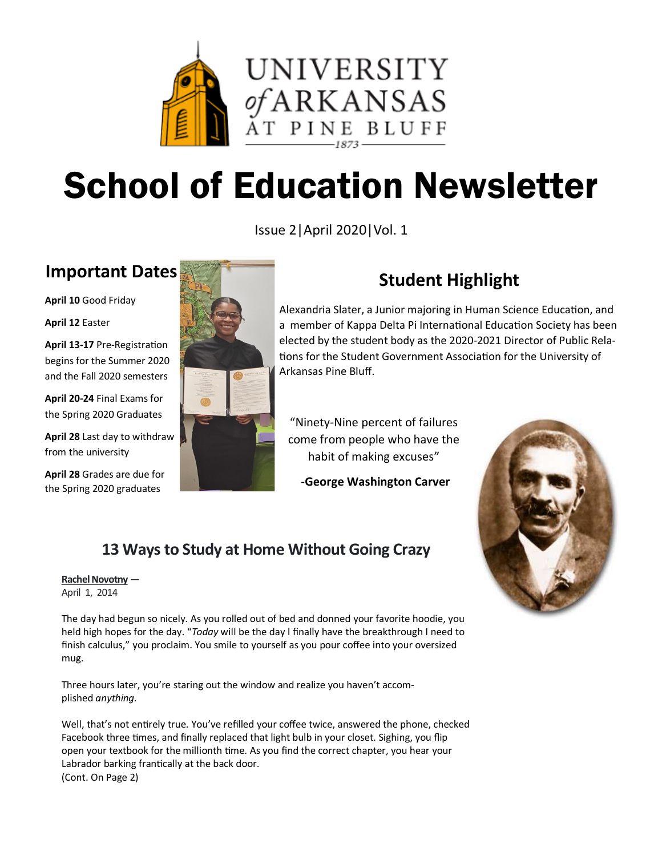

# School of Education Newsletter

Issue 2|April 2020|Vol. 1

## **Important Dates**

**April 10** Good Friday

**April 12** Easter

**April 13-17** Pre-Registration begins for the Summer 2020 and the Fall 2020 semesters

**April 20-24** Final Exams for the Spring 2020 Graduates

**April 28** Last day to withdraw from the university

**April 28** Grades are due for the Spring 2020 graduates



## **Student Highlight**

Alexandria Slater, a Junior majoring in Human Science Education, and a member of Kappa Delta Pi International Education Society has been elected by the student body as the 2020-2021 Director of Public Relations for the Student Government Association for the University of Arkansas Pine Bluff.

"Ninety-Nine percent of failures come from people who have the habit of making excuses"

-**George Washington Carver**



## **13 Ways to Study at Home Without Going Crazy**

#### **[Rachel Novotny](https://getunbound.com/blog/authors/rachel-novotny)** —

April 1, 2014

The day had begun so nicely. As you rolled out of bed and donned your favorite hoodie, you held high hopes for the day. "*Today* will be the day I finally have the breakthrough I need to finish calculus," you proclaim. You smile to yourself as you pour coffee into your oversized mug.

Three hours later, you're staring out the window and realize you haven't accomplished *anything.*

Well, that's not entirely true. You've refilled your coffee twice, answered the phone, checked Facebook three times, and finally replaced that light bulb in your closet. Sighing, you flip open your textbook for the millionth time. As you find the correct chapter, you hear your Labrador barking frantically at the back door. (Cont. On Page 2)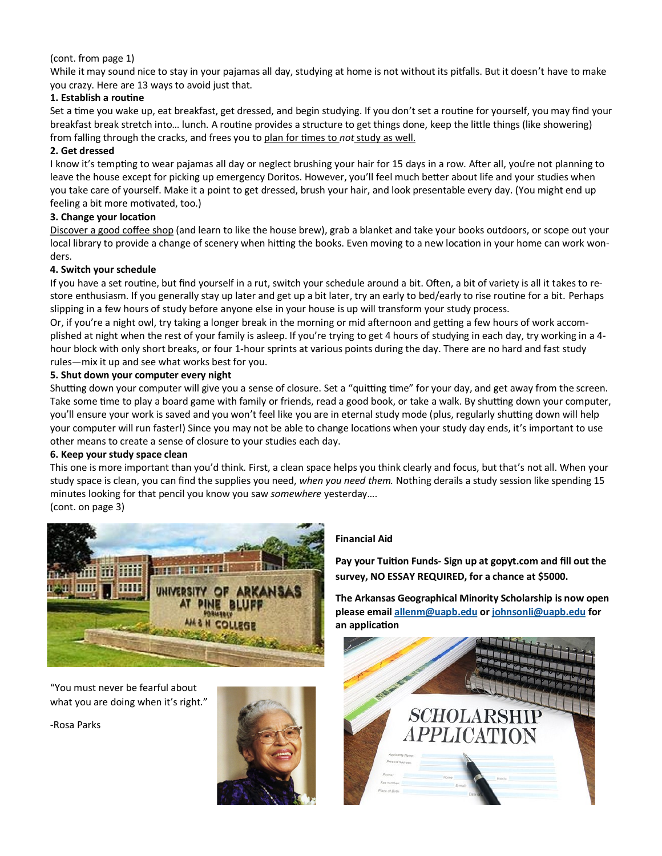#### (cont. from page 1)

While it may sound nice to stay in your pajamas all day, studying at home is not without its pitfalls. But it doesn't have to make you crazy. Here are 13 ways to avoid just that.

#### **1. Establish a routine**

Set a time you wake up, eat breakfast, get dressed, and begin studying. If you don't set a routine for yourself, you may find your breakfast break stretch into… lunch. A routine provides a structure to get things done, keep the little things (like showering) from falling through the cracks, and frees you to [plan for times to](https://getunbound.org/blog/how-to-take-meaningful-breaks) *not*study as well.

#### **2. Get dressed**

I know it's tempting to wear pajamas all day or neglect brushing your hair for 15 days in a row. After all, you're not planning to leave the house except for picking up emergency Doritos. However, you'll feel much better about life and your studies when you take care of yourself. Make it a point to get dressed, brush your hair, and look presentable every day. (You might end up feeling a bit more motivated, too.)

#### **3. Change your location**

[Discover a good coffee shop](https://getunbound.org/blog/extrovert-study-tips) (and learn to like the house brew), grab a blanket and take your books outdoors, or scope out your local library to provide a change of scenery when hitting the books. Even moving to a new location in your home can work wonders.

#### **4. Switch your schedule**

If you have a set routine, but find yourself in a rut, switch your schedule around a bit. Often, a bit of variety is all it takes to restore enthusiasm. If you generally stay up later and get up a bit later, try an early to bed/early to rise routine for a bit. Perhaps slipping in a few hours of study before anyone else in your house is up will transform your study process.

Or, if you're a night owl, try taking a longer break in the morning or mid afternoon and getting a few hours of work accomplished at night when the rest of your family is asleep. If you're trying to get 4 hours of studying in each day, try working in a 4 hour block with only short breaks, or four 1-hour sprints at various points during the day. There are no hard and fast study rules—mix it up and see what works best for you.

#### **5. Shut down your computer every night**

Shutting down your computer will give you a sense of closure. Set a "quitting time" for your day, and get away from the screen. Take some time to play a board game with family or friends, read a good book, or take a walk. By shutting down your computer, you'll ensure your work is saved and you won't feel like you are in eternal study mode (plus, regularly shutting down will help your computer will run faster!) Since you may not be able to change locations when your study day ends, it's important to use other means to create a sense of closure to your studies each day.

#### **6. Keep your study space clean**

This one is more important than you'd think. First, a clean space helps you think clearly and focus, but that's not all. When your study space is clean, you can find the supplies you need, *when you need them.* Nothing derails a study session like spending 15 minutes looking for that pencil you know you saw *somewhere* yesterday…. (cont. on page 3)



"You must never be fearful about what you are doing when it's right."

-Rosa Parks



#### **Financial Aid**

**Pay your Tuition Funds- Sign up at gopyt.com and fill out the survey, NO ESSAY REQUIRED, for a chance at \$5000.**

**The Arkansas Geographical Minority Scholarship is now open please email [allenm@uapb.edu](mailto:allenm@uapb.edu) or [johnsonli@uapb.edu](mailto:johnsonli@uapb.edu) for an application**

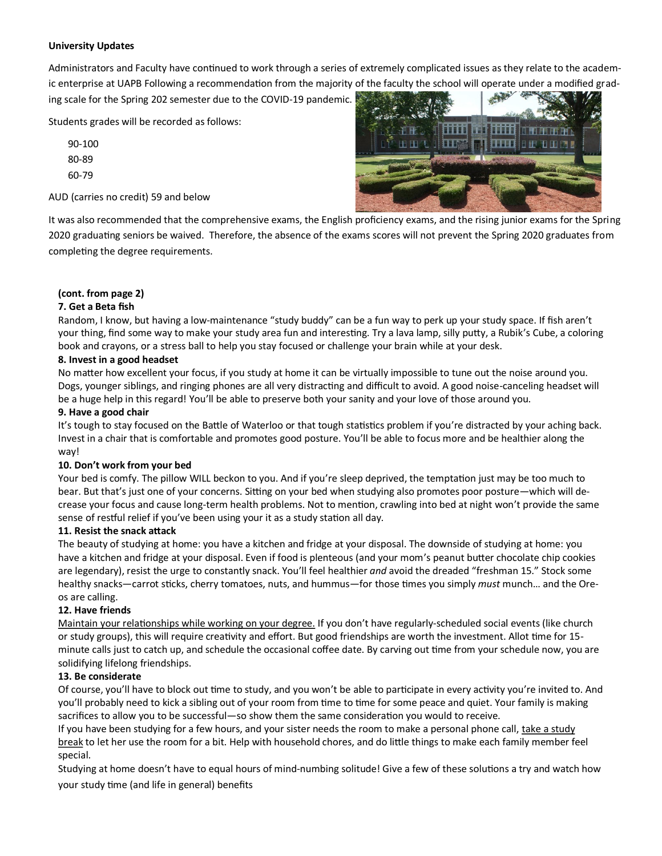#### **University Updates**

Administrators and Faculty have continued to work through a series of extremely complicated issues as they relate to the academic enterprise at UAPB Following a recommendation from the majority of the faculty the school will operate under a modified grading scale for the Spring 202 semester due to the COVID-19 pandemic.

Students grades will be recorded as follows:

90-100 80-89 60-79

AUD (carries no credit) 59 and below

田田玉 **HIF#** माम F 田田四

It was also recommended that the comprehensive exams, the English proficiency exams, and the rising junior exams for the Spring 2020 graduating seniors be waived. Therefore, the absence of the exams scores will not prevent the Spring 2020 graduates from completing the degree requirements.

#### **(cont. from page 2)**

#### **7. Get a Beta fish**

Random, I know, but having a low-maintenance "study buddy" can be a fun way to perk up your study space. If fish aren't your thing, find some way to make your study area fun and interesting. Try a lava lamp, silly putty, a Rubik's Cube, a coloring book and crayons, or a stress ball to help you stay focused or challenge your brain while at your desk.

#### **8. Invest in a good headset**

No matter how excellent your focus, if you study at home it can be virtually impossible to tune out the noise around you. Dogs, younger siblings, and ringing phones are all very distracting and difficult to avoid. A good noise-canceling headset will be a huge help in this regard! You'll be able to preserve both your sanity and your love of those around you.

#### **9. Have a good chair**

It's tough to stay focused on the Battle of Waterloo or that tough statistics problem if you're distracted by your aching back. Invest in a chair that is comfortable and promotes good posture. You'll be able to focus more and be healthier along the way!

#### **10. Don't work from your bed**

Your bed is comfy. The pillow WILL beckon to you. And if you're sleep deprived, the temptation just may be too much to bear. But that's just one of your concerns. Sitting on your bed when studying also promotes poor posture—which will decrease your focus and cause long-term health problems. Not to mention, crawling into bed at night won't provide the same sense of restful relief if you've been using your it as a study station all day.

#### **11. Resist the snack attack**

The beauty of studying at home: you have a kitchen and fridge at your disposal. The downside of studying at home: you have a kitchen and fridge at your disposal. Even if food is plenteous (and your mom's peanut butter chocolate chip cookies are legendary), resist the urge to constantly snack. You'll feel healthier *and* avoid the dreaded "freshman 15." Stock some healthy snacks—carrot sticks, cherry tomatoes, nuts, and hummus—for those times you simply *must* munch… and the Oreos are calling.

#### **12. Have friends**

[Maintain your relationships while working on your degree.](http://www.getunbound.org/blog/fully-invested-this-is-my-unbound-life) If you don't have regularly-scheduled social events (like church or study groups), this will require creativity and effort. But good friendships are worth the investment. Allot time for 15 minute calls just to catch up, and schedule the occasional coffee date. By carving out time from your schedule now, you are solidifying lifelong friendships.

#### **13. Be considerate**

Of course, you'll have to block out time to study, and you won't be able to participate in every activity you're invited to. And you'll probably need to kick a sibling out of your room from time to time for some peace and quiet. Your family is making sacrifices to allow you to be successful—so show them the same consideration you would to receive.

If you have been studying for a few hours, and your sister needs the room to make a personal phone call, [take a study](https://getunbound.org/blog/how-to-take-meaningful-breaks)  [break](https://getunbound.org/blog/how-to-take-meaningful-breaks) to let her use the room for a bit. Help with household chores, and do little things to make each family member feel special.

Studying at home doesn't have to equal hours of mind-numbing solitude! Give a few of these solutions a try and watch how your study time (and life in general) benefits